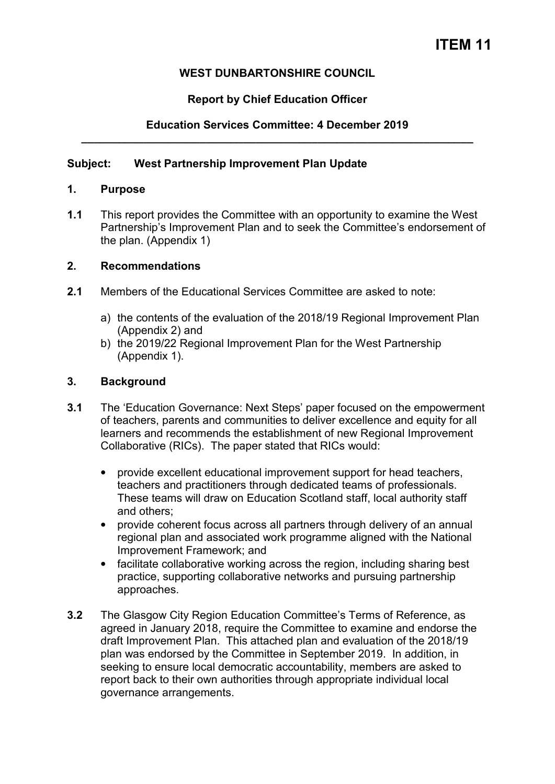# **WEST DUNBARTONSHIRE COUNCIL**

# **Report by Chief Education Officer**

## **Education Services Committee: 4 December 2019 \_\_\_\_\_\_\_\_\_\_\_\_\_\_\_\_\_\_\_\_\_\_\_\_\_\_\_\_\_\_\_\_\_\_\_\_\_\_\_\_\_\_\_\_\_\_\_\_\_\_\_\_\_\_\_\_\_\_\_\_\_\_\_**

### **Subject: West Partnership Improvement Plan Update**

### **1. Purpose**

**1.1** This report provides the Committee with an opportunity to examine the West Partnership's Improvement Plan and to seek the Committee's endorsement of the plan. (Appendix 1)

### **2. Recommendations**

- **2.1** Members of the Educational Services Committee are asked to note:
	- a) the contents of the evaluation of the 2018/19 Regional Improvement Plan (Appendix 2) and
	- b) the 2019/22 Regional Improvement Plan for the West Partnership (Appendix 1).

### **3. Background**

- **3.1** The 'Education Governance: Next Steps' paper focused on the empowerment of teachers, parents and communities to deliver excellence and equity for all learners and recommends the establishment of new Regional Improvement Collaborative (RICs). The paper stated that RICs would:
	- provide excellent educational improvement support for head teachers, teachers and practitioners through dedicated teams of professionals. These teams will draw on Education Scotland staff, local authority staff and others;
	- provide coherent focus across all partners through delivery of an annual regional plan and associated work programme aligned with the National Improvement Framework; and
	- facilitate collaborative working across the region, including sharing best practice, supporting collaborative networks and pursuing partnership approaches.
- **3.2** The Glasgow City Region Education Committee's Terms of Reference, as agreed in January 2018, require the Committee to examine and endorse the draft Improvement Plan. This attached plan and evaluation of the 2018/19 plan was endorsed by the Committee in September 2019. In addition, in seeking to ensure local democratic accountability, members are asked to report back to their own authorities through appropriate individual local governance arrangements.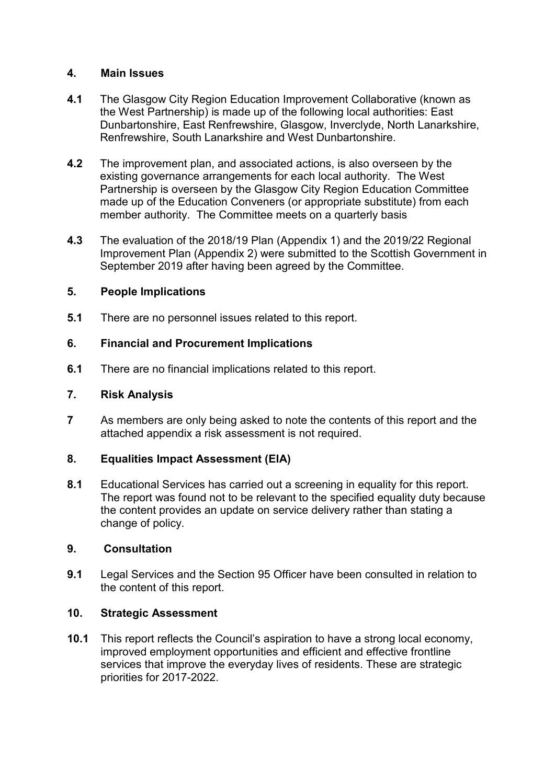# **4. Main Issues**

- **4.1** The Glasgow City Region Education Improvement Collaborative (known as the West Partnership) is made up of the following local authorities: East Dunbartonshire, East Renfrewshire, Glasgow, Inverclyde, North Lanarkshire, Renfrewshire, South Lanarkshire and West Dunbartonshire.
- **4.2** The improvement plan, and associated actions, is also overseen by the existing governance arrangements for each local authority. The West Partnership is overseen by the Glasgow City Region Education Committee made up of the Education Conveners (or appropriate substitute) from each member authority. The Committee meets on a quarterly basis
- **4.3** The evaluation of the 2018/19 Plan (Appendix 1) and the 2019/22 Regional Improvement Plan (Appendix 2) were submitted to the Scottish Government in September 2019 after having been agreed by the Committee.

# **5. People Implications**

**5.1** There are no personnel issues related to this report.

# **6. Financial and Procurement Implications**

**6.1** There are no financial implications related to this report.

### **7. Risk Analysis**

**7** As members are only being asked to note the contents of this report and the attached appendix a risk assessment is not required.

### **8. Equalities Impact Assessment (EIA)**

**8.1** Educational Services has carried out a screening in equality for this report. The report was found not to be relevant to the specified equality duty because the content provides an update on service delivery rather than stating a change of policy.

### **9. Consultation**

**9.1** Legal Services and the Section 95 Officer have been consulted in relation to the content of this report.

### **10. Strategic Assessment**

**10.1** This report reflects the Council's aspiration to have a strong local economy, improved employment opportunities and efficient and effective frontline services that improve the everyday lives of residents. These are strategic priorities for 2017-2022.